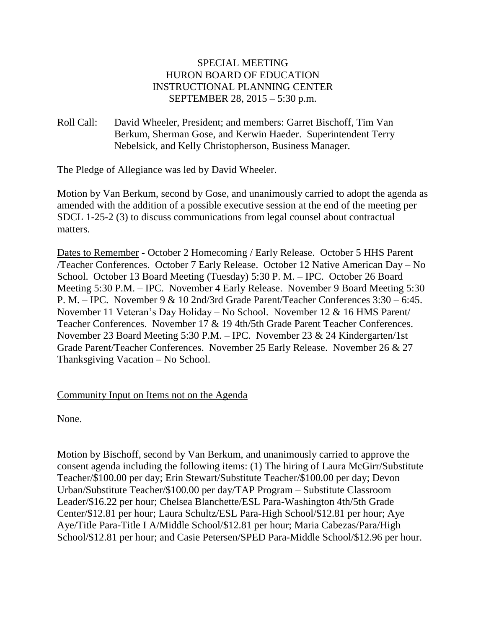## SPECIAL MEETING HURON BOARD OF EDUCATION INSTRUCTIONAL PLANNING CENTER SEPTEMBER 28, 2015 – 5:30 p.m.

Roll Call: David Wheeler, President; and members: Garret Bischoff, Tim Van Berkum, Sherman Gose, and Kerwin Haeder. Superintendent Terry Nebelsick, and Kelly Christopherson, Business Manager.

The Pledge of Allegiance was led by David Wheeler.

Motion by Van Berkum, second by Gose, and unanimously carried to adopt the agenda as amended with the addition of a possible executive session at the end of the meeting per SDCL 1-25-2 (3) to discuss communications from legal counsel about contractual matters.

Dates to Remember - October 2 Homecoming / Early Release. October 5 HHS Parent /Teacher Conferences. October 7 Early Release. October 12 Native American Day – No School. October 13 Board Meeting (Tuesday) 5:30 P. M. – IPC. October 26 Board Meeting 5:30 P.M. – IPC. November 4 Early Release. November 9 Board Meeting 5:30 P. M. – IPC. November 9 & 10 2nd/3rd Grade Parent/Teacher Conferences 3:30 – 6:45. November 11 Veteran's Day Holiday – No School. November 12 & 16 HMS Parent/ Teacher Conferences. November 17 & 19 4th/5th Grade Parent Teacher Conferences. November 23 Board Meeting 5:30 P.M. – IPC. November 23 & 24 Kindergarten/1st Grade Parent/Teacher Conferences. November 25 Early Release. November 26 & 27 Thanksgiving Vacation – No School.

# Community Input on Items not on the Agenda

None.

Motion by Bischoff, second by Van Berkum, and unanimously carried to approve the consent agenda including the following items: (1) The hiring of Laura McGirr/Substitute Teacher/\$100.00 per day; Erin Stewart/Substitute Teacher/\$100.00 per day; Devon Urban/Substitute Teacher/\$100.00 per day/TAP Program – Substitute Classroom Leader/\$16.22 per hour; Chelsea Blanchette/ESL Para-Washington 4th/5th Grade Center/\$12.81 per hour; Laura Schultz/ESL Para-High School/\$12.81 per hour; Aye Aye/Title Para-Title I A/Middle School/\$12.81 per hour; Maria Cabezas/Para/High School/\$12.81 per hour; and Casie Petersen/SPED Para-Middle School/\$12.96 per hour.